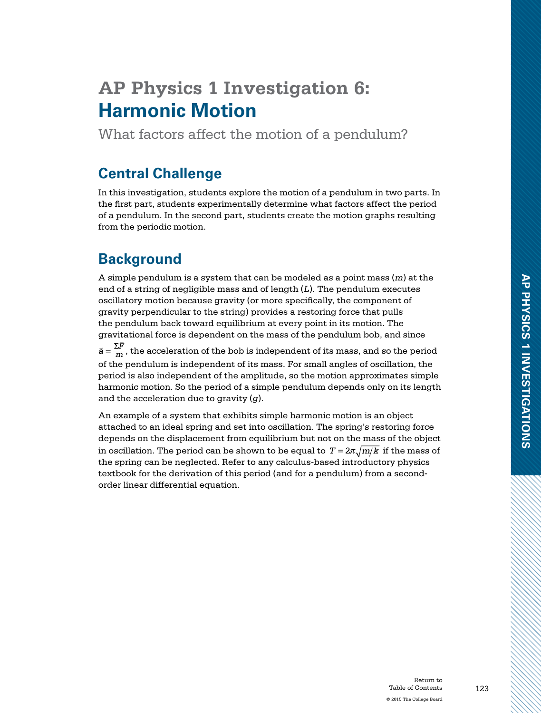# **AP Physics 1 Investigation 6: Harmonic Motion**

What factors affect the motion of a pendulum?

### **Central Challenge**

In this investigation, students explore the motion of a pendulum in two parts. In the first part, students experimentally determine what factors affect the period of a pendulum. In the second part, students create the motion graphs resulting from the periodic motion.

## **Background**

A simple pendulum is a system that can be modeled as a point mass (*m*) at the end of a string of negligible mass and of length (*L*). The pendulum executes oscillatory motion because gravity (or more specifically, the component of gravity perpendicular to the string) provides a restoring force that pulls the pendulum back toward equilibrium at every point in its motion. The gravitational force is dependent on the mass of the pendulum bob, and since  $\bar{a} = \frac{\Sigma \bar{F}}{m}$ , the acceleration of the bob is independent of its mass, and so the period of the pendulum is independent of its mass. For small angles of oscillation, the period is also independent of the amplitude, so the motion approximates simple harmonic motion. So the period of a simple pendulum depends only on its length and the acceleration due to gravity (*g*).

An example of a system that exhibits simple harmonic motion is an object attached to an ideal spring and set into oscillation. The spring's restoring force depends on the displacement from equilibrium but not on the mass of the object in oscillation. The period can be shown to be equal to  $T = 2\pi \sqrt{m/k}$  if the mass of the spring can be neglected. Refer to any calculus-based introductory physics textbook for the derivation of this period (and for a pendulum) from a secondorder linear differential equation.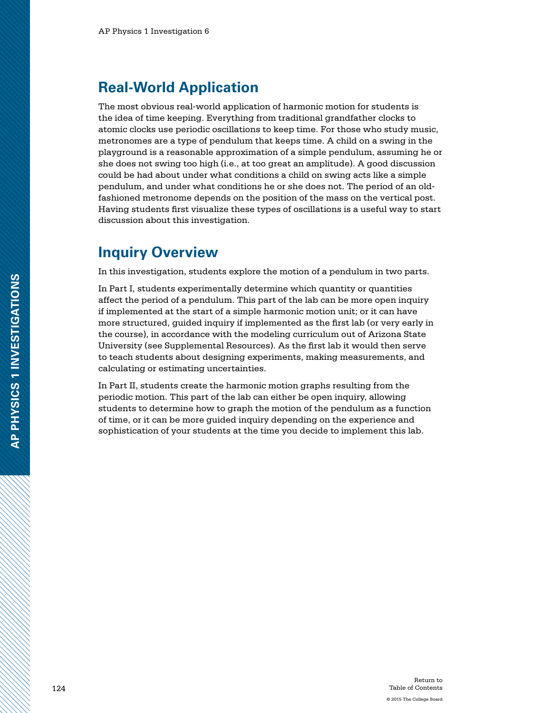### **Real-World Application**

The most obvious real-world application of harmonic motion for students is the idea of time keeping. Everything from traditional grandfather clocks to atomic clocks use periodic oscillations to keep time. For those who study music, metronomes are a type of pendulum that keeps time. A child on a swing in the playground is a reasonable approximation of a simple pendulum, assuming he or she does not swing too high (i.e., at too great an amplitude). A good discussion could be had about under what conditions a child on swing acts like a simple pendulum, and under what conditions he or she does not. The period of an oldfashioned metronome depends on the position of the mass on the vertical post. Having students first visualize these types of oscillations is a useful way to start discussion about this investigation.

### **Inquiry Overview**

In this investigation, students explore the motion of a pendulum in two parts.

In Part I, students experimentally determine which quantity or quantities affect the period of a pendulum. This part of the lab can be more open inquiry if implemented at the start of a simple harmonic motion unit; or it can have more structured, guided inquiry if implemented as the first lab (or very early in the course), in accordance with the modeling curriculum out of Arizona State University (see Supplemental Resources). As the first lab it would then serve to teach students about designing experiments, making measurements, and calculating or estimating uncertainties.

In Part II, students create the harmonic motion graphs resulting from the periodic motion. This part of the lab can either be open inquiry, allowing students to determine how to graph the motion of the pendulum as a function of time, or it can be more guided inquiry depending on the experience and sophistication of your students at the time you decide to implement this lab.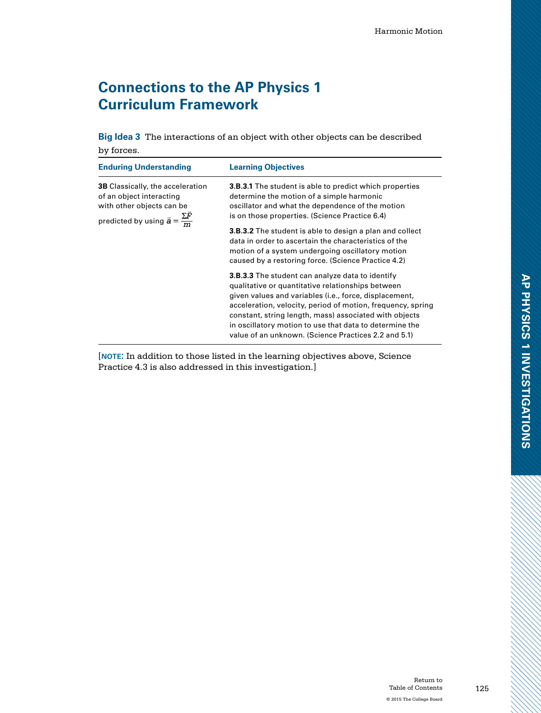## **Connections to the AP Physics 1 Curriculum Framework**

**Big Idea 3** The interactions of an object with other objects can be described by forces.

| <b>Enduring Understanding</b>                                                                                                                               | <b>Learning Objectives</b>                                                                                                                                                                                                                                                                                                                                                                                         |
|-------------------------------------------------------------------------------------------------------------------------------------------------------------|--------------------------------------------------------------------------------------------------------------------------------------------------------------------------------------------------------------------------------------------------------------------------------------------------------------------------------------------------------------------------------------------------------------------|
| <b>3B</b> Classically, the acceleration<br>of an object interacting<br>with other objects can be<br>predicted by using $\bar{a} = \frac{\Sigma \bar{F}}{m}$ | <b>3.B.3.1</b> The student is able to predict which properties<br>determine the motion of a simple harmonic<br>oscillator and what the dependence of the motion<br>is on those properties. (Science Practice 6.4)                                                                                                                                                                                                  |
|                                                                                                                                                             | <b>3.B.3.2</b> The student is able to design a plan and collect<br>data in order to ascertain the characteristics of the<br>motion of a system undergoing oscillatory motion<br>caused by a restoring force. (Science Practice 4.2)                                                                                                                                                                                |
|                                                                                                                                                             | <b>3.B.3.3</b> The student can analyze data to identify<br>qualitative or quantitative relationships between<br>given values and variables (i.e., force, displacement,<br>acceleration, velocity, period of motion, frequency, spring<br>constant, string length, mass) associated with objects<br>in oscillatory motion to use that data to determine the<br>value of an unknown. (Science Practices 2.2 and 5.1) |

[**note:** In addition to those listed in the learning objectives above, Science Practice 4.3 is also addressed in this investigation.]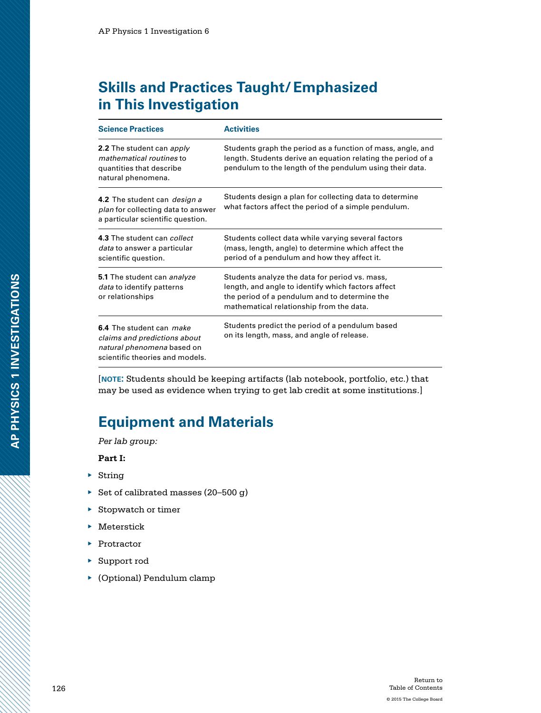## **Skills and Practices Taught/Emphasized in This Investigation**

| <b>Science Practices</b>                                                                                                  | <b>Activities</b>                                                                                                                                                                                 |
|---------------------------------------------------------------------------------------------------------------------------|---------------------------------------------------------------------------------------------------------------------------------------------------------------------------------------------------|
| 2.2 The student can apply<br>mathematical routines to<br>quantities that describe<br>natural phenomena.                   | Students graph the period as a function of mass, angle, and<br>length. Students derive an equation relating the period of a<br>pendulum to the length of the pendulum using their data.           |
| 4.2 The student can <i>design a</i><br><i>plan</i> for collecting data to answer<br>a particular scientific question.     | Students design a plan for collecting data to determine<br>what factors affect the period of a simple pendulum.                                                                                   |
| 4.3 The student can collect<br>data to answer a particular<br>scientific question.                                        | Students collect data while varying several factors<br>(mass, length, angle) to determine which affect the<br>period of a pendulum and how they affect it.                                        |
| 5.1 The student can analyze<br><i>data</i> to identify patterns<br>or relationships                                       | Students analyze the data for period vs. mass,<br>length, and angle to identify which factors affect<br>the period of a pendulum and to determine the<br>mathematical relationship from the data. |
| 6.4 The student can make<br>claims and predictions about<br>natural phenomena based on<br>scientific theories and models. | Students predict the period of a pendulum based<br>on its length, mass, and angle of release.                                                                                                     |

[**note:** Students should be keeping artifacts (lab notebook, portfolio, etc.) that may be used as evidence when trying to get lab credit at some institutions.]

## **Equipment and Materials**

*Per lab group:*

**Part I:**

- ▶ String
- ▶ Set of calibrated masses (20–500 g)
- ▶ Stopwatch or timer
- $\blacktriangleright$  Meterstick
- ▶ Protractor
- ▶ Support rod
- ▶ (Optional) Pendulum clamp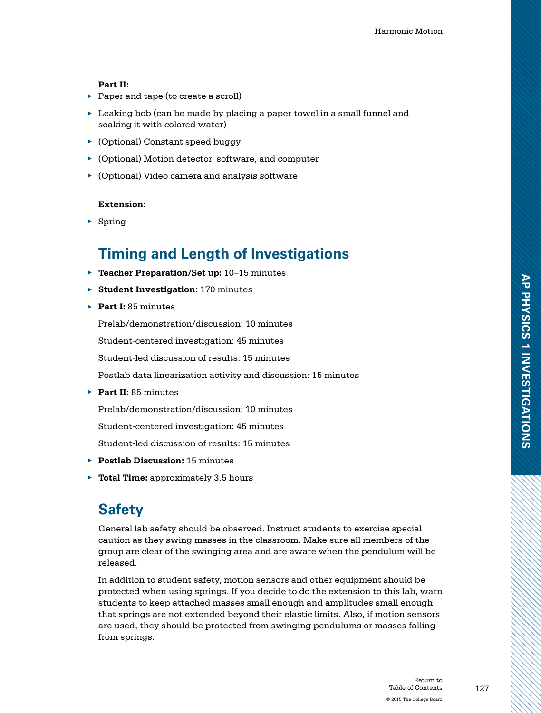### **Part II:**

- ▶ Paper and tape (to create a scroll)
- ▶ Leaking bob (can be made by placing a paper towel in a small funnel and soaking it with colored water)
- ▶ (Optional) Constant speed buggy
- ▶ (Optional) Motion detector, software, and computer
- ▶ (Optional) Video camera and analysis software

### **Extension:**

▶ Spring

## **Timing and Length of Investigations**

- ▶ **Teacher Preparation/Set up:** 10–15 minutes
- ▶ **Student Investigation:** 170 minutes
- ▶ **Part I:** 85 minutes

Prelab/demonstration/discussion: 10 minutes

Student-centered investigation: 45 minutes

Student-led discussion of results: 15 minutes

Postlab data linearization activity and discussion: 15 minutes

▶ **Part II:** 85 minutes

Prelab/demonstration/discussion: 10 minutes

Student-centered investigation: 45 minutes

Student-led discussion of results: 15 minutes

- ▶ **Postlab Discussion:** 15 minutes
- ▶ **Total Time:** approximately 3.5 hours

## **Safety**

General lab safety should be observed. Instruct students to exercise special caution as they swing masses in the classroom. Make sure all members of the group are clear of the swinging area and are aware when the pendulum will be released.

In addition to student safety, motion sensors and other equipment should be protected when using springs. If you decide to do the extension to this lab, warn students to keep attached masses small enough and amplitudes small enough that springs are not extended beyond their elastic limits. Also, if motion sensors are used, they should be protected from swinging pendulums or masses falling from springs.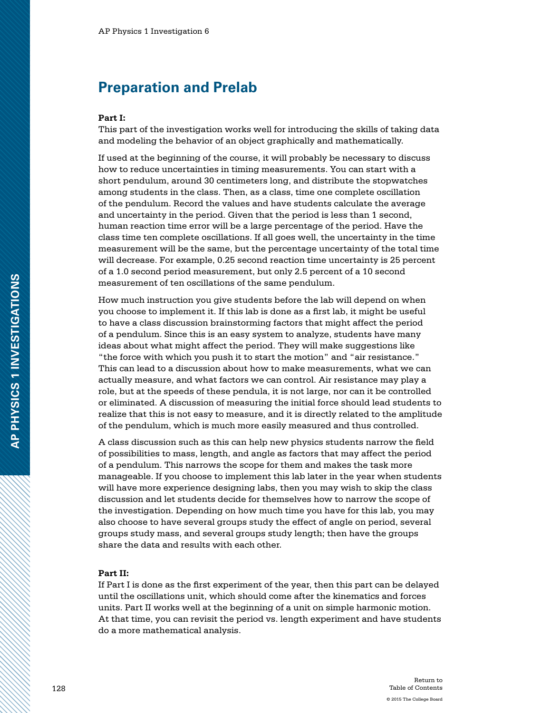### **Preparation and Prelab**

#### **Part I:**

This part of the investigation works well for introducing the skills of taking data and modeling the behavior of an object graphically and mathematically.

If used at the beginning of the course, it will probably be necessary to discuss how to reduce uncertainties in timing measurements. You can start with a short pendulum, around 30 centimeters long, and distribute the stopwatches among students in the class. Then, as a class, time one complete oscillation of the pendulum. Record the values and have students calculate the average and uncertainty in the period. Given that the period is less than 1 second, human reaction time error will be a large percentage of the period. Have the class time ten complete oscillations. If all goes well, the uncertainty in the time measurement will be the same, but the percentage uncertainty of the total time will decrease. For example, 0.25 second reaction time uncertainty is 25 percent of a 1.0 second period measurement, but only 2.5 percent of a 10 second measurement of ten oscillations of the same pendulum.

How much instruction you give students before the lab will depend on when you choose to implement it. If this lab is done as a first lab, it might be useful to have a class discussion brainstorming factors that might affect the period of a pendulum. Since this is an easy system to analyze, students have many ideas about what might affect the period. They will make suggestions like "the force with which you push it to start the motion" and "air resistance." This can lead to a discussion about how to make measurements, what we can actually measure, and what factors we can control. Air resistance may play a role, but at the speeds of these pendula, it is not large, nor can it be controlled or eliminated. A discussion of measuring the initial force should lead students to realize that this is not easy to measure, and it is directly related to the amplitude of the pendulum, which is much more easily measured and thus controlled.

A class discussion such as this can help new physics students narrow the field of possibilities to mass, length, and angle as factors that may affect the period of a pendulum. This narrows the scope for them and makes the task more manageable. If you choose to implement this lab later in the year when students will have more experience designing labs, then you may wish to skip the class discussion and let students decide for themselves how to narrow the scope of the investigation. Depending on how much time you have for this lab, you may also choose to have several groups study the effect of angle on period, several groups study mass, and several groups study length; then have the groups share the data and results with each other.

#### **Part II:**

If Part I is done as the first experiment of the year, then this part can be delayed until the oscillations unit, which should come after the kinematics and forces units. Part II works well at the beginning of a unit on simple harmonic motion. At that time, you can revisit the period vs. length experiment and have students do a more mathematical analysis.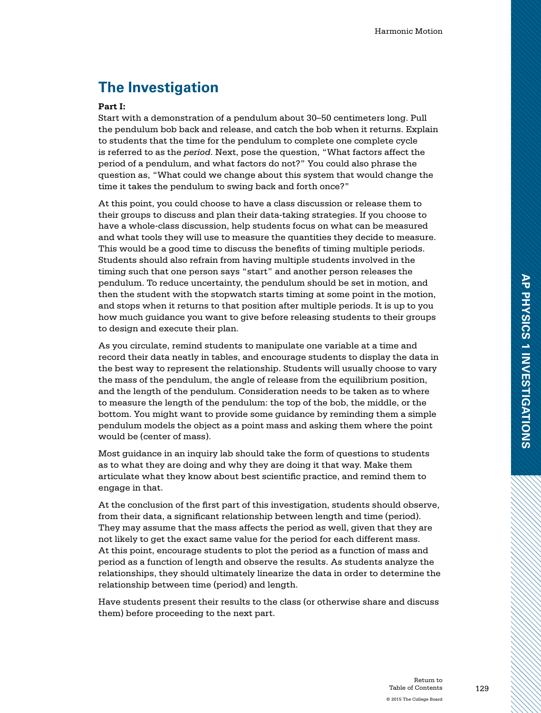## **The Investigation**

### **Part I:**

Start with a demonstration of a pendulum about 30–50 centimeters long. Pull the pendulum bob back and release, and catch the bob when it returns. Explain to students that the time for the pendulum to complete one complete cycle is referred to as the *period*. Next, pose the question, "What factors affect the period of a pendulum, and what factors do not?" You could also phrase the question as, "What could we change about this system that would change the time it takes the pendulum to swing back and forth once?"

At this point, you could choose to have a class discussion or release them to their groups to discuss and plan their data-taking strategies. If you choose to have a whole-class discussion, help students focus on what can be measured and what tools they will use to measure the quantities they decide to measure. This would be a good time to discuss the benefits of timing multiple periods. Students should also refrain from having multiple students involved in the timing such that one person says "start" and another person releases the pendulum. To reduce uncertainty, the pendulum should be set in motion, and then the student with the stopwatch starts timing at some point in the motion, and stops when it returns to that position after multiple periods. It is up to you how much guidance you want to give before releasing students to their groups to design and execute their plan.

As you circulate, remind students to manipulate one variable at a time and record their data neatly in tables, and encourage students to display the data in the best way to represent the relationship. Students will usually choose to vary the mass of the pendulum, the angle of release from the equilibrium position, and the length of the pendulum. Consideration needs to be taken as to where to measure the length of the pendulum: the top of the bob, the middle, or the bottom. You might want to provide some guidance by reminding them a simple pendulum models the object as a point mass and asking them where the point would be (center of mass).

Most guidance in an inquiry lab should take the form of questions to students as to what they are doing and why they are doing it that way. Make them articulate what they know about best scientific practice, and remind them to engage in that.

At the conclusion of the first part of this investigation, students should observe, from their data, a significant relationship between length and time (period). They may assume that the mass affects the period as well, given that they are not likely to get the exact same value for the period for each different mass. At this point, encourage students to plot the period as a function of mass and period as a function of length and observe the results. As students analyze the relationships, they should ultimately linearize the data in order to determine the relationship between time (period) and length.

Have students present their results to the class (or otherwise share and discuss them) before proceeding to the next part.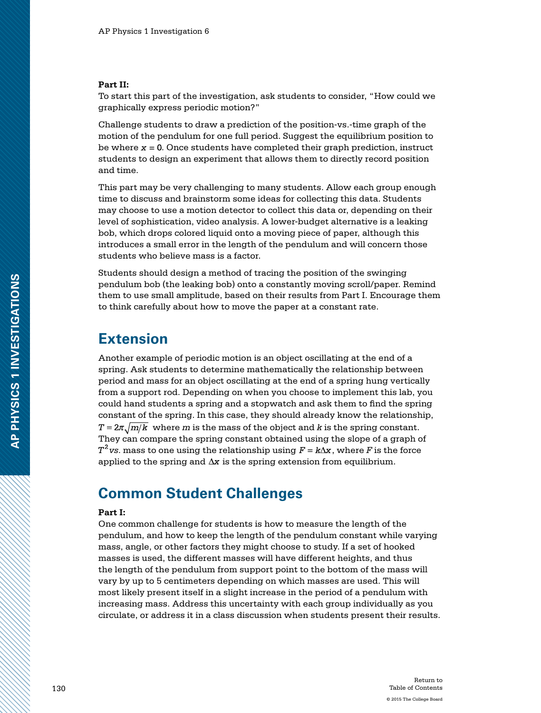#### **Part II:**

To start this part of the investigation, ask students to consider, "How could we graphically express periodic motion?"

Challenge students to draw a prediction of the position-vs.-time graph of the motion of the pendulum for one full period. Suggest the equilibrium position to be where  $x = 0$ . Once students have completed their graph prediction, instruct students to design an experiment that allows them to directly record position and time.

This part may be very challenging to many students. Allow each group enough time to discuss and brainstorm some ideas for collecting this data. Students may choose to use a motion detector to collect this data or, depending on their level of sophistication, video analysis. A lower-budget alternative is a leaking bob, which drops colored liquid onto a moving piece of paper, although this introduces a small error in the length of the pendulum and will concern those students who believe mass is a factor.

Students should design a method of tracing the position of the swinging pendulum bob (the leaking bob) onto a constantly moving scroll/paper. Remind them to use small amplitude, based on their results from Part I. Encourage them to think carefully about how to move the paper at a constant rate.

### **Extension**

Another example of periodic motion is an object oscillating at the end of a spring. Ask students to determine mathematically the relationship between period and mass for an object oscillating at the end of a spring hung vertically from a support rod. Depending on when you choose to implement this lab, you could hand students a spring and a stopwatch and ask them to find the spring constant of the spring. In this case, they should already know the relationship,  $T = 2\pi \sqrt{m/k}$  where *m* is the mass of the object and *k* is the spring constant. They can compare the spring constant obtained using the slope of a graph of  $T^2$  vs. mass to one using the relationship using  $F = k\Delta x$ , where *F* is the force applied to the spring and  $\Delta x$  is the spring extension from equilibrium.

### **Common Student Challenges**

#### **Part I:**

One common challenge for students is how to measure the length of the pendulum, and how to keep the length of the pendulum constant while varying mass, angle, or other factors they might choose to study. If a set of hooked masses is used, the different masses will have different heights, and thus the length of the pendulum from support point to the bottom of the mass will vary by up to 5 centimeters depending on which masses are used. This will most likely present itself in a slight increase in the period of a pendulum with increasing mass. Address this uncertainty with each group individually as you circulate, or address it in a class discussion when students present their results.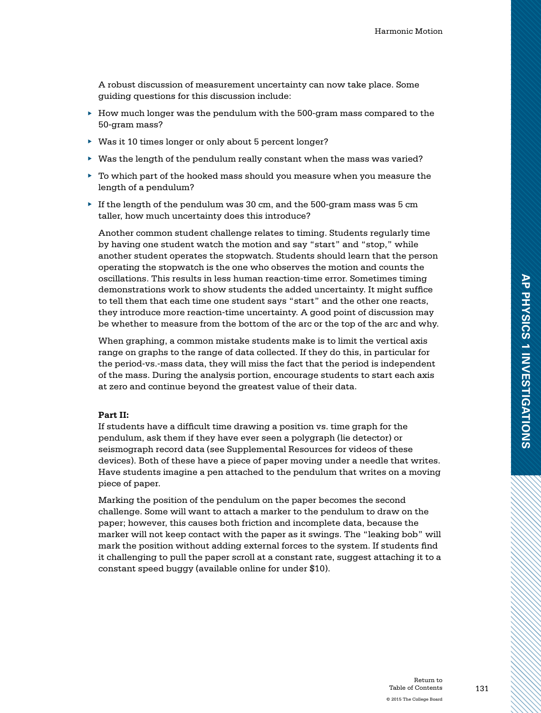A robust discussion of measurement uncertainty can now take place. Some guiding questions for this discussion include:

- $\blacktriangleright$  How much longer was the pendulum with the 500-gram mass compared to the 50-gram mass?
- ▶ Was it 10 times longer or only about 5 percent longer?
- $\blacktriangleright$  Was the length of the pendulum really constant when the mass was varied?
- $\triangleright$  To which part of the hooked mass should you measure when you measure the length of a pendulum?
- $\blacktriangleright$  If the length of the pendulum was 30 cm, and the 500-gram mass was 5 cm taller, how much uncertainty does this introduce?

Another common student challenge relates to timing. Students regularly time by having one student watch the motion and say "start" and "stop," while another student operates the stopwatch. Students should learn that the person operating the stopwatch is the one who observes the motion and counts the oscillations. This results in less human reaction-time error. Sometimes timing demonstrations work to show students the added uncertainty. It might suffice to tell them that each time one student says "start" and the other one reacts, they introduce more reaction-time uncertainty. A good point of discussion may be whether to measure from the bottom of the arc or the top of the arc and why.

When graphing, a common mistake students make is to limit the vertical axis range on graphs to the range of data collected. If they do this, in particular for the period-vs.-mass data, they will miss the fact that the period is independent of the mass. During the analysis portion, encourage students to start each axis at zero and continue beyond the greatest value of their data.

#### **Part II:**

If students have a difficult time drawing a position vs. time graph for the pendulum, ask them if they have ever seen a polygraph (lie detector) or seismograph record data (see Supplemental Resources for videos of these devices). Both of these have a piece of paper moving under a needle that writes. Have students imagine a pen attached to the pendulum that writes on a moving piece of paper.

Marking the position of the pendulum on the paper becomes the second challenge. Some will want to attach a marker to the pendulum to draw on the paper; however, this causes both friction and incomplete data, because the marker will not keep contact with the paper as it swings. The "leaking bob" will mark the position without adding external forces to the system. If students find it challenging to pull the paper scroll at a constant rate, suggest attaching it to a constant speed buggy (available online for under \$10).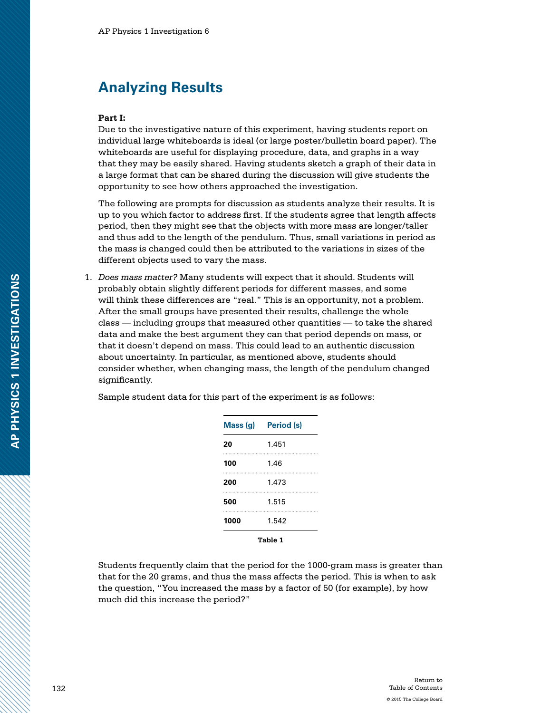### **Analyzing Results**

#### **Part I:**

Due to the investigative nature of this experiment, having students report on individual large whiteboards is ideal (or large poster/bulletin board paper). The whiteboards are useful for displaying procedure, data, and graphs in a way that they may be easily shared. Having students sketch a graph of their data in a large format that can be shared during the discussion will give students the opportunity to see how others approached the investigation.

The following are prompts for discussion as students analyze their results. It is up to you which factor to address first. If the students agree that length affects period, then they might see that the objects with more mass are longer/taller and thus add to the length of the pendulum. Thus, small variations in period as the mass is changed could then be attributed to the variations in sizes of the different objects used to vary the mass.

1. *Does mass matter?* Many students will expect that it should. Students will probably obtain slightly different periods for different masses, and some will think these differences are "real." This is an opportunity, not a problem. After the small groups have presented their results, challenge the whole class — including groups that measured other quantities — to take the shared data and make the best argument they can that period depends on mass, or that it doesn't depend on mass. This could lead to an authentic discussion about uncertainty. In particular, as mentioned above, students should consider whether, when changing mass, the length of the pendulum changed significantly.

| Sample student data for this part of the experiment is as follows: |  |  |
|--------------------------------------------------------------------|--|--|
|--------------------------------------------------------------------|--|--|

| Mass (g) | <b>Period</b> (s) |
|----------|-------------------|
| 20       | 1.451             |
| 100      | 1.46              |
| 200      | 1.473             |
| 500      | 1.515             |
| 1000     | 1.542             |
|          | Table 1           |

Students frequently claim that the period for the 1000-gram mass is greater than that for the 20 grams, and thus the mass affects the period. This is when to ask the question, "You increased the mass by a factor of 50 (for example), by how much did this increase the period?"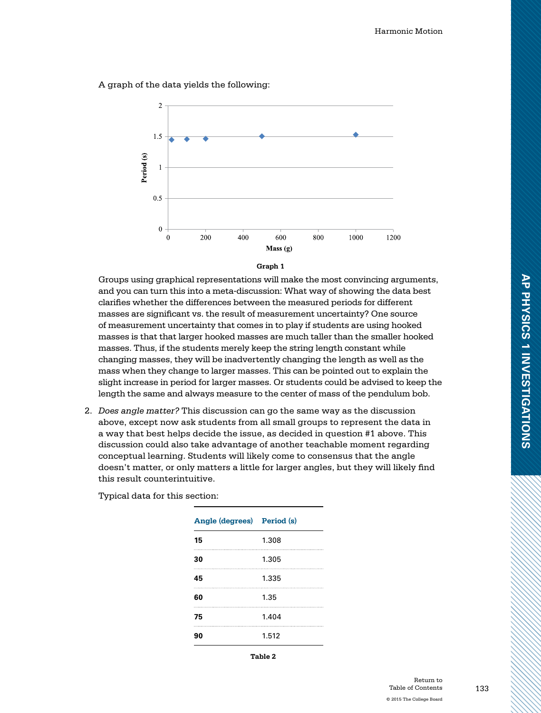A graph of the data yields the following:





Groups using graphical representations will make the most convincing arguments, and you can turn this into a meta-discussion: What way of showing the data best clarifies whether the differences between the measured periods for different masses are significant vs. the result of measurement uncertainty? One source of measurement uncertainty that comes in to play if students are using hooked masses is that that larger hooked masses are much taller than the smaller hooked masses. Thus, if the students merely keep the string length constant while changing masses, they will be inadvertently changing the length as well as the mass when they change to larger masses. This can be pointed out to explain the slight increase in period for larger masses. Or students could be advised to keep the length the same and always measure to the center of mass of the pendulum bob.

2. *Does angle matter?* This discussion can go the same way as the discussion above, except now ask students from all small groups to represent the data in a way that best helps decide the issue, as decided in question #1 above. This discussion could also take advantage of another teachable moment regarding conceptual learning. Students will likely come to consensus that the angle doesn't matter, or only matters a little for larger angles, but they will likely find this result counterintuitive.

| Angle (degrees) Period (s) |       |
|----------------------------|-------|
| 15                         | 1.308 |
| 30                         | 1.305 |
| 45                         | 1.335 |
| 60                         | 1.35  |
| 75                         | 1.404 |
| 90                         | 1.512 |

Typical data for this section:

**Table 2**

**AP PHYSICS 1 INVESTIGATIONS**

AP PHYSICS 1 INVESTIGATIONS

133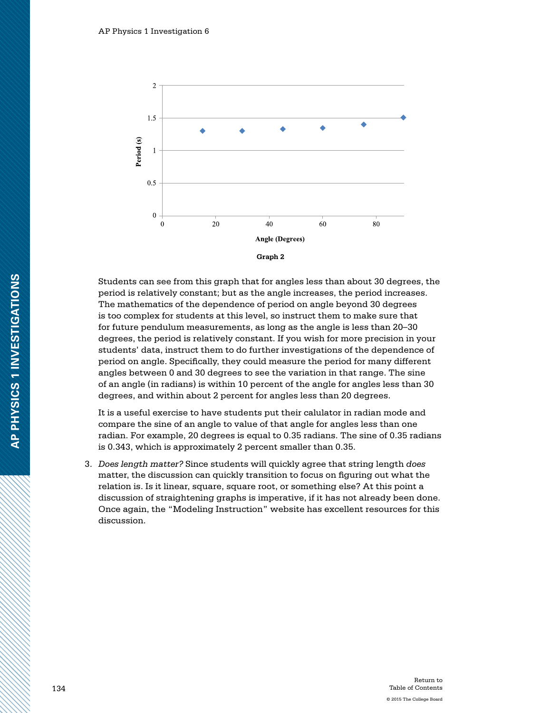

Students can see from this graph that for angles less than about 30 degrees, the period is relatively constant; but as the angle increases, the period increases. The mathematics of the dependence of period on angle beyond 30 degrees is too complex for students at this level, so instruct them to make sure that for future pendulum measurements, as long as the angle is less than 20–30 degrees, the period is relatively constant. If you wish for more precision in your students' data, instruct them to do further investigations of the dependence of period on angle. Specifically, they could measure the period for many different angles between 0 and 30 degrees to see the variation in that range. The sine of an angle (in radians) is within 10 percent of the angle for angles less than 30 degrees, and within about 2 percent for angles less than 20 degrees.

It is a useful exercise to have students put their calulator in radian mode and compare the sine of an angle to value of that angle for angles less than one radian. For example, 20 degrees is equal to 0.35 radians. The sine of 0.35 radians is 0.343, which is approximately 2 percent smaller than 0.35.

3. *Does length matter?* Since students will quickly agree that string length *does* matter, the discussion can quickly transition to focus on figuring out what the relation is. Is it linear, square, square root, or something else? At this point a discussion of straightening graphs is imperative, if it has not already been done. Once again, the "Modeling Instruction" website has excellent resources for this discussion.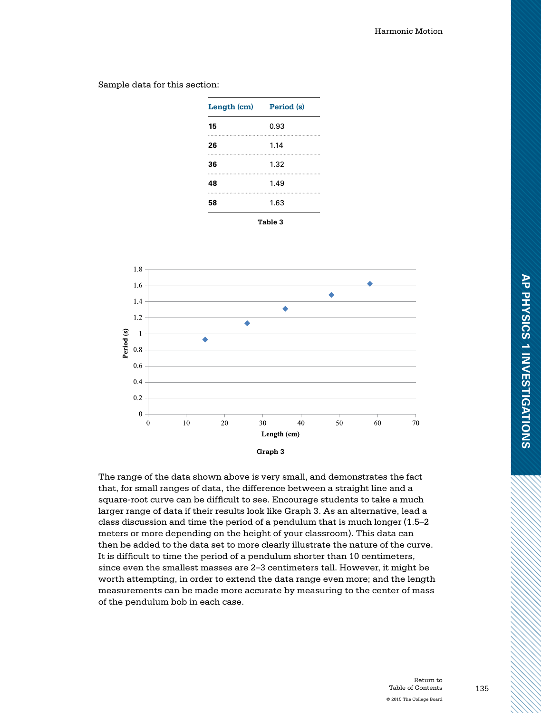**Length (cm) Period (s) 15** 0.93 **26** 1.14 **36** 1.32 **48** 1.49 **58** 1.63 **Table 3**

Sample data for this section:

1.8 1.6 ۰  $1.4$ ٠  $1.2$ ä Period (s)  $\mathbf{1}$ ă 0.8 0.6  $0.4$  $0.2$  $\overline{0}$  $\Omega$ 10 20 30 40 50 60 70 Length (cm) **Graph 3**

The range of the data shown above is very small, and demonstrates the fact that, for small ranges of data, the difference between a straight line and a square-root curve can be difficult to see. Encourage students to take a much larger range of data if their results look like Graph 3. As an alternative, lead a class discussion and time the period of a pendulum that is much longer (1.5–2 meters or more depending on the height of your classroom). This data can then be added to the data set to more clearly illustrate the nature of the curve. It is difficult to time the period of a pendulum shorter than 10 centimeters, since even the smallest masses are 2–3 centimeters tall. However, it might be worth attempting, in order to extend the data range even more; and the length measurements can be made more accurate by measuring to the center of mass of the pendulum bob in each case.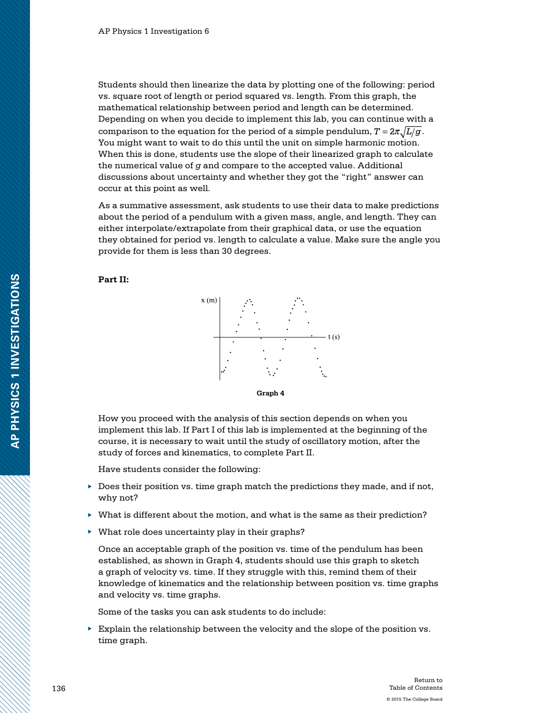Students should then linearize the data by plotting one of the following: period vs. square root of length or period squared vs. length. From this graph, the mathematical relationship between period and length can be determined. Depending on when you decide to implement this lab, you can continue with a comparison to the equation for the period of a simple pendulum,  $T = 2\pi \sqrt{L/g}$ . You might want to wait to do this until the unit on simple harmonic motion. When this is done, students use the slope of their linearized graph to calculate the numerical value of *g* and compare to the accepted value. Additional discussions about uncertainty and whether they got the "right" answer can occur at this point as well.

As a summative assessment, ask students to use their data to make predictions about the period of a pendulum with a given mass, angle, and length. They can either interpolate/extrapolate from their graphical data, or use the equation they obtained for period vs. length to calculate a value. Make sure the angle you provide for them is less than 30 degrees.





How you proceed with the analysis of this section depends on when you implement this lab. If Part I of this lab is implemented at the beginning of the course, it is necessary to wait until the study of oscillatory motion, after the study of forces and kinematics, to complete Part II.

Have students consider the following:

- $\triangleright$  Does their position vs. time graph match the predictions they made, and if not, why not?
- ▶ What is different about the motion, and what is the same as their prediction?
- ▶ What role does uncertainty play in their graphs?

Once an acceptable graph of the position vs. time of the pendulum has been established, as shown in Graph 4, students should use this graph to sketch a graph of velocity vs. time. If they struggle with this, remind them of their knowledge of kinematics and the relationship between position vs. time graphs and velocity vs. time graphs.

Some of the tasks you can ask students to do include:

 $\blacktriangleright$  Explain the relationship between the velocity and the slope of the position vs. time graph.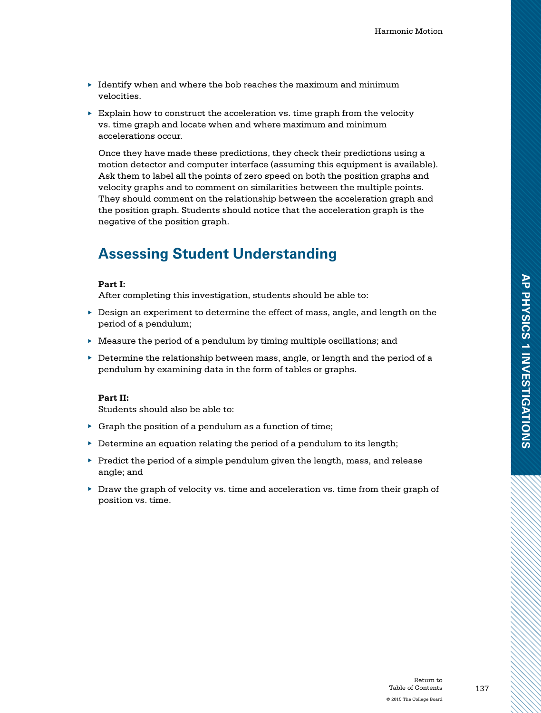- $\blacktriangleright$  Identify when and where the bob reaches the maximum and minimum velocities.
- $\triangleright$  Explain how to construct the acceleration vs. time graph from the velocity vs. time graph and locate when and where maximum and minimum accelerations occur.

Once they have made these predictions, they check their predictions using a motion detector and computer interface (assuming this equipment is available). Ask them to label all the points of zero speed on both the position graphs and velocity graphs and to comment on similarities between the multiple points. They should comment on the relationship between the acceleration graph and the position graph. Students should notice that the acceleration graph is the negative of the position graph.

## **Assessing Student Understanding**

#### **Part I:**

After completing this investigation, students should be able to:

- ▶ Design an experiment to determine the effect of mass, angle, and length on the period of a pendulum;
- $\blacktriangleright$  Measure the period of a pendulum by timing multiple oscillations; and
- $\blacktriangleright$  Determine the relationship between mass, angle, or length and the period of a pendulum by examining data in the form of tables or graphs.

### **Part II:**

Students should also be able to:

- $\triangleright$  Graph the position of a pendulum as a function of time;
- $\triangleright$  Determine an equation relating the period of a pendulum to its length;
- $\blacktriangleright$  Predict the period of a simple pendulum given the length, mass, and release angle; and
- $\triangleright$  Draw the graph of velocity vs. time and acceleration vs. time from their graph of position vs. time.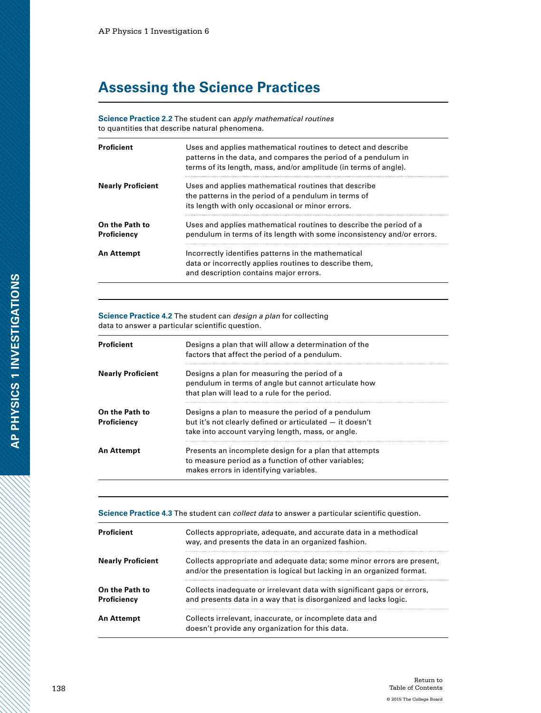## **Assessing the Science Practices**

**Science Practice 2.2** The student can *apply mathematical routines* to quantities that describe natural phenomena.

| <b>Proficient</b>             | Uses and applies mathematical routines to detect and describe<br>patterns in the data, and compares the period of a pendulum in<br>terms of its length, mass, and/or amplitude (in terms of angle). |
|-------------------------------|-----------------------------------------------------------------------------------------------------------------------------------------------------------------------------------------------------|
| <b>Nearly Proficient</b>      | Uses and applies mathematical routines that describe<br>the patterns in the period of a pendulum in terms of<br>its length with only occasional or minor errors.                                    |
| On the Path to<br>Proficiency | Uses and applies mathematical routines to describe the period of a<br>pendulum in terms of its length with some inconsistency and/or errors.                                                        |
| An Attempt                    | Incorrectly identifies patterns in the mathematical<br>data or incorrectly applies routines to describe them,<br>and description contains major errors.                                             |

**Science Practice 4.2** The student can *design a plan* for collecting data to answer a particular scientific question.

| <b>Proficient</b>             | Designs a plan that will allow a determination of the<br>factors that affect the period of a pendulum.                                                              |
|-------------------------------|---------------------------------------------------------------------------------------------------------------------------------------------------------------------|
| <b>Nearly Proficient</b>      | Designs a plan for measuring the period of a<br>pendulum in terms of angle but cannot articulate how<br>that plan will lead to a rule for the period.               |
| On the Path to<br>Proficiency | Designs a plan to measure the period of a pendulum<br>but it's not clearly defined or articulated – it doesn't<br>take into account varying length, mass, or angle. |
| An Attempt                    | Presents an incomplete design for a plan that attempts<br>to measure period as a function of other variables;<br>makes errors in identifying variables.             |

**Science Practice 4.3** The student can *collect data* to answer a particular scientific question.

| <b>Proficient</b>             | Collects appropriate, adequate, and accurate data in a methodical<br>way, and presents the data in an organized fashion.                         |
|-------------------------------|--------------------------------------------------------------------------------------------------------------------------------------------------|
| <b>Nearly Proficient</b>      | Collects appropriate and adequate data; some minor errors are present,<br>and/or the presentation is logical but lacking in an organized format. |
| On the Path to<br>Proficiency | Collects inadequate or irrelevant data with significant gaps or errors,<br>and presents data in a way that is disorganized and lacks logic.      |
| An Attempt                    | Collects irrelevant, inaccurate, or incomplete data and<br>doesn't provide any organization for this data.                                       |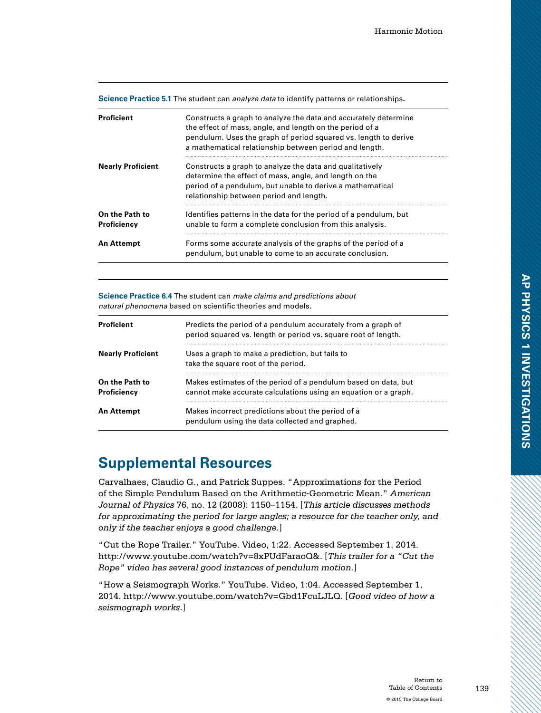|  |  | Science Practice 5.1 The student can analyze data to identify patterns or relationships. |
|--|--|------------------------------------------------------------------------------------------|
|  |  |                                                                                          |

| Proficient                    | Constructs a graph to analyze the data and accurately determine<br>the effect of mass, angle, and length on the period of a<br>pendulum. Uses the graph of period squared vs. length to derive<br>a mathematical relationship between period and length. |
|-------------------------------|----------------------------------------------------------------------------------------------------------------------------------------------------------------------------------------------------------------------------------------------------------|
| <b>Nearly Proficient</b>      | Constructs a graph to analyze the data and qualitatively<br>determine the effect of mass, angle, and length on the<br>period of a pendulum, but unable to derive a mathematical<br>relationship between period and length.                               |
| On the Path to<br>Proficiency | Identifies patterns in the data for the period of a pendulum, but<br>unable to form a complete conclusion from this analysis.                                                                                                                            |
| <b>An Attempt</b>             | Forms some accurate analysis of the graphs of the period of a<br>pendulum, but unable to come to an accurate conclusion.                                                                                                                                 |

**Science Practice 6.4** The student can *make claims and predictions about natural phenomena* based on scientific theories and models.

| <b>Proficient</b>             | Predicts the period of a pendulum accurately from a graph of<br>period squared vs. length or period vs. square root of length.    |
|-------------------------------|-----------------------------------------------------------------------------------------------------------------------------------|
| <b>Nearly Proficient</b>      | Uses a graph to make a prediction, but fails to<br>take the square root of the period.                                            |
| On the Path to<br>Proficiency | Makes estimates of the period of a pendulum based on data, but<br>cannot make accurate calculations using an equation or a graph. |
| <b>An Attempt</b>             | Makes incorrect predictions about the period of a<br>pendulum using the data collected and graphed.                               |

## **Supplemental Resources**

Carvalhaes, Claudio G., and Patrick Suppes. "Approximations for the Period of the Simple Pendulum Based on the Arithmetic-Geometric Mean." *American Journal of Physics* 76, no. 12 (2008): 1150–1154. [*This article discusses methods for approximating the period for large angles; a resource for the teacher only, and only if the teacher enjoys a good challenge*.]

"Cut the Rope Trailer." YouTube. Video, 1:22. Accessed September 1, 2014. http://www.youtube.com/watch?v=8xPUdFaraoQ&. [*This trailer for a "Cut the Rope" video has several good instances of pendulum motion.*]

"How a Seismograph Works." YouTube. Video, 1:04. Accessed September 1, 2014. http://www.youtube.com/watch?v=Gbd1FcuLJLQ. [*Good video of how a seismograph works*.]